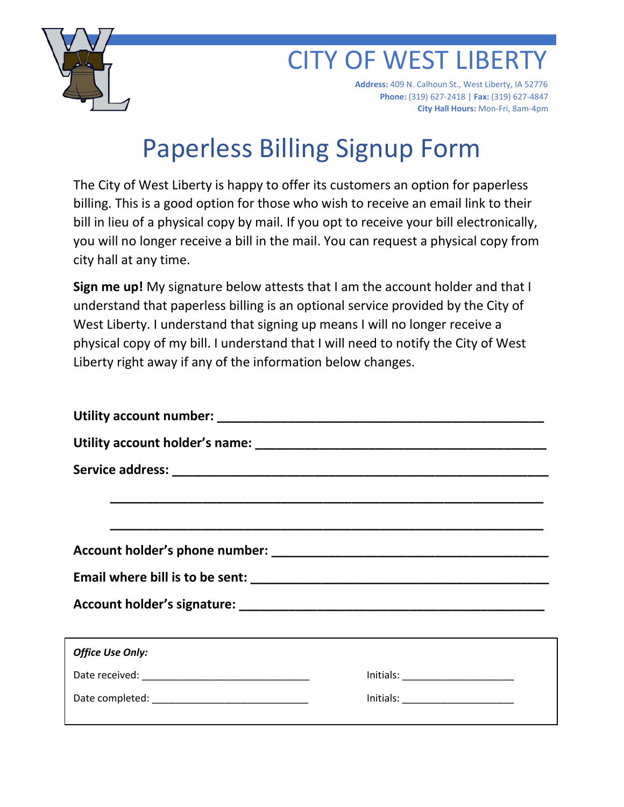

 $\overline{a}$ 

## **CITY OF WEST LIBERT**

 **Address:** 409 N. Calhoun St., West Liberty, IA 52776  **Phone:** (319) 627-2418 | **Fax:** (319) 627-4847 **City Hall Hours:** Mon-Fri, 8am-4pm

## Paperless Billing Signup Form

The City of West Liberty is happy to offer its customers an option for paperless billing. This is a good option for those who wish to receive an email link to their bill in lieu of a physical copy by mail. If you opt to receive your bill electronically, you will no longer receive a bill in the mail. You can request a physical copy from city hall at any time.

**Sign me up!** My signature below attests that I am the account holder and that I understand that paperless billing is an optional service provided by the City of West Liberty. I understand that signing up means I will no longer receive a physical copy of my bill. I understand that I will need to notify the City of West Liberty right away if any of the information below changes.

| <u>,这就是这个人的人,我们就是一个人的人,我们就是这个人的人,我们就是一个人的人,我们就是一个人的人,我们就是一个人的人,我们就是一个人的人,我们就是</u>                                     |                                                                                                     |  |
|-----------------------------------------------------------------------------------------------------------------------|-----------------------------------------------------------------------------------------------------|--|
| <u> 1989 - Johann Stoff, deutscher Stoff, der Stoff, der Stoff, der Stoff, der Stoff, der Stoff, der Stoff, der S</u> |                                                                                                     |  |
|                                                                                                                       |                                                                                                     |  |
|                                                                                                                       |                                                                                                     |  |
|                                                                                                                       |                                                                                                     |  |
|                                                                                                                       |                                                                                                     |  |
| <b>Office Use Only:</b>                                                                                               |                                                                                                     |  |
|                                                                                                                       | $\boxed{\text{Initials:}\_\_\_\_\_\_\_\_\_\_\_\_\_\_\_\_\_\_\_\_\_\_\_\_\_\_\_\_\_\_\_\_\_\_\_\_}}$ |  |
|                                                                                                                       | $\boxed{\text{Initials:}\_\_\_\_\_\_\_\_\_\_\_\_\_\_\_\_\_\_\_\_\_\_\_\_\_\_\_\_\_\_\_\_\_\_\_}}$   |  |